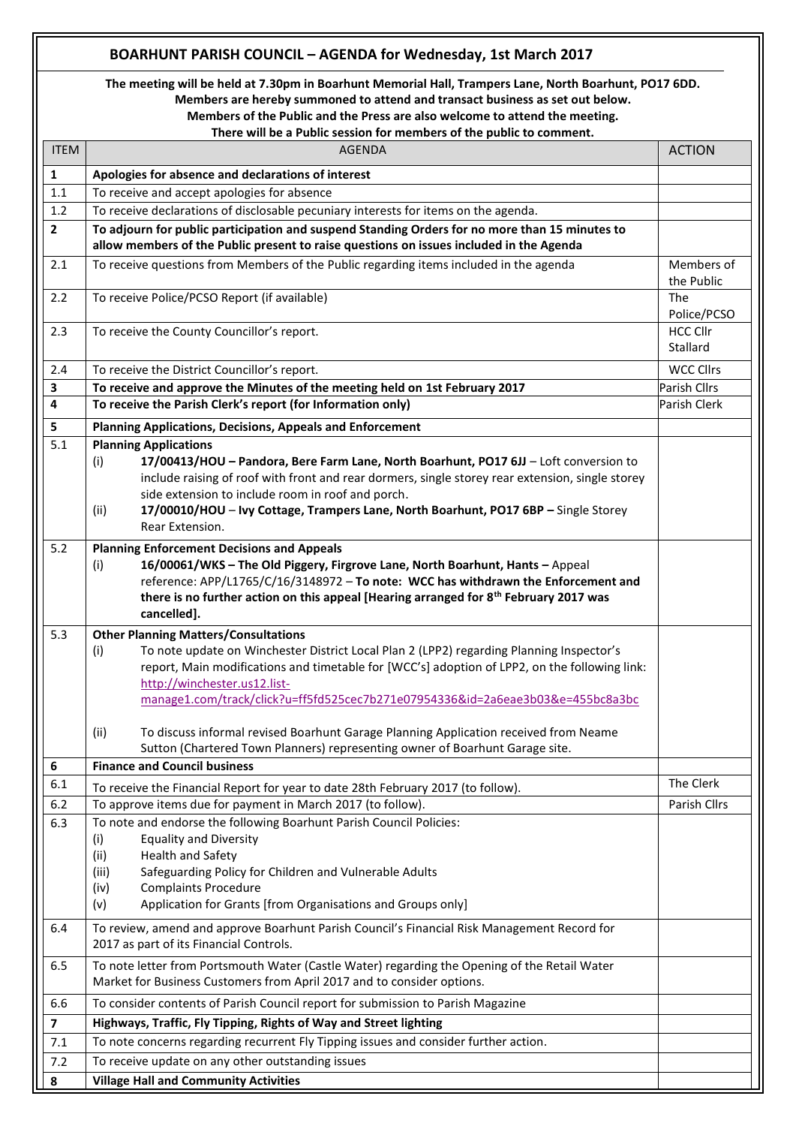## **BOARHUNT PARISH COUNCIL – AGENDA for Wednesday, 1st March 2017**

**The meeting will be held at 7.30pm in Boarhunt Memorial Hall, Trampers Lane, North Boarhunt, PO17 6DD. Members are hereby summoned to attend and transact business as set out below.**

**Members of the Public and the Press are also welcome to attend the meeting.**

**There will be a Public session for members of the public to comment.**

| <b>ITEM</b>             | <b>AGENDA</b>                                                                                                                                                                                                                                                                                                                                                     | <b>ACTION</b>               |
|-------------------------|-------------------------------------------------------------------------------------------------------------------------------------------------------------------------------------------------------------------------------------------------------------------------------------------------------------------------------------------------------------------|-----------------------------|
| $\mathbf{1}$            | Apologies for absence and declarations of interest                                                                                                                                                                                                                                                                                                                |                             |
| $1.1$                   | To receive and accept apologies for absence                                                                                                                                                                                                                                                                                                                       |                             |
| 1.2                     | To receive declarations of disclosable pecuniary interests for items on the agenda.                                                                                                                                                                                                                                                                               |                             |
| $\mathbf{2}$            | To adjourn for public participation and suspend Standing Orders for no more than 15 minutes to<br>allow members of the Public present to raise questions on issues included in the Agenda                                                                                                                                                                         |                             |
| 2.1                     | To receive questions from Members of the Public regarding items included in the agenda                                                                                                                                                                                                                                                                            | Members of<br>the Public    |
| 2.2                     | To receive Police/PCSO Report (if available)                                                                                                                                                                                                                                                                                                                      | The<br>Police/PCSO          |
| 2.3                     | To receive the County Councillor's report.                                                                                                                                                                                                                                                                                                                        | <b>HCC Cllr</b><br>Stallard |
| 2.4                     | To receive the District Councillor's report.                                                                                                                                                                                                                                                                                                                      | <b>WCC Cllrs</b>            |
| 3                       | To receive and approve the Minutes of the meeting held on 1st February 2017                                                                                                                                                                                                                                                                                       | Parish Cllrs                |
| 4                       | To receive the Parish Clerk's report (for Information only)                                                                                                                                                                                                                                                                                                       | Parish Clerk                |
| 5                       | <b>Planning Applications, Decisions, Appeals and Enforcement</b>                                                                                                                                                                                                                                                                                                  |                             |
| 5.1                     | <b>Planning Applications</b>                                                                                                                                                                                                                                                                                                                                      |                             |
|                         | 17/00413/HOU - Pandora, Bere Farm Lane, North Boarhunt, PO17 6JJ - Loft conversion to<br>(i)<br>include raising of roof with front and rear dormers, single storey rear extension, single storey<br>side extension to include room in roof and porch.                                                                                                             |                             |
|                         | 17/00010/HOU - Ivy Cottage, Trampers Lane, North Boarhunt, PO17 6BP - Single Storey<br>(ii)<br>Rear Extension.                                                                                                                                                                                                                                                    |                             |
| 5.2                     | <b>Planning Enforcement Decisions and Appeals</b><br>16/00061/WKS - The Old Piggery, Firgrove Lane, North Boarhunt, Hants - Appeal<br>(i)<br>reference: APP/L1765/C/16/3148972 - To note: WCC has withdrawn the Enforcement and<br>there is no further action on this appeal [Hearing arranged for 8 <sup>th</sup> February 2017 was<br>cancelled].               |                             |
| 5.3                     | <b>Other Planning Matters/Consultations</b><br>To note update on Winchester District Local Plan 2 (LPP2) regarding Planning Inspector's<br>(i)<br>report, Main modifications and timetable for [WCC's] adoption of LPP2, on the following link:<br>http://winchester.us12.list-<br>manage1.com/track/click?u=ff5fd525cec7b271e07954336&id=2a6eae3b03&e=455bc8a3bc |                             |
|                         | To discuss informal revised Boarhunt Garage Planning Application received from Neame<br>(ii)<br>Sutton (Chartered Town Planners) representing owner of Boarhunt Garage site.                                                                                                                                                                                      |                             |
| $\boldsymbol{6}$        | <b>Finance and Council business</b>                                                                                                                                                                                                                                                                                                                               |                             |
| 6.1                     | To receive the Financial Report for year to date 28th February 2017 (to follow).                                                                                                                                                                                                                                                                                  | The Clerk                   |
| 6.2                     | To approve items due for payment in March 2017 (to follow).                                                                                                                                                                                                                                                                                                       | Parish Cllrs                |
| 6.3                     | To note and endorse the following Boarhunt Parish Council Policies:<br><b>Equality and Diversity</b><br>(i)<br>Health and Safety<br>(ii)<br>Safeguarding Policy for Children and Vulnerable Adults<br>(iii)<br><b>Complaints Procedure</b><br>(iv)<br>(v)<br>Application for Grants [from Organisations and Groups only]                                          |                             |
| 6.4                     | To review, amend and approve Boarhunt Parish Council's Financial Risk Management Record for<br>2017 as part of its Financial Controls.                                                                                                                                                                                                                            |                             |
| 6.5                     | To note letter from Portsmouth Water (Castle Water) regarding the Opening of the Retail Water<br>Market for Business Customers from April 2017 and to consider options.                                                                                                                                                                                           |                             |
| 6.6                     | To consider contents of Parish Council report for submission to Parish Magazine                                                                                                                                                                                                                                                                                   |                             |
| $\overline{\mathbf{z}}$ | Highways, Traffic, Fly Tipping, Rights of Way and Street lighting                                                                                                                                                                                                                                                                                                 |                             |
| 7.1                     | To note concerns regarding recurrent Fly Tipping issues and consider further action.                                                                                                                                                                                                                                                                              |                             |
| 7.2                     | To receive update on any other outstanding issues                                                                                                                                                                                                                                                                                                                 |                             |
| 8                       | <b>Village Hall and Community Activities</b>                                                                                                                                                                                                                                                                                                                      |                             |